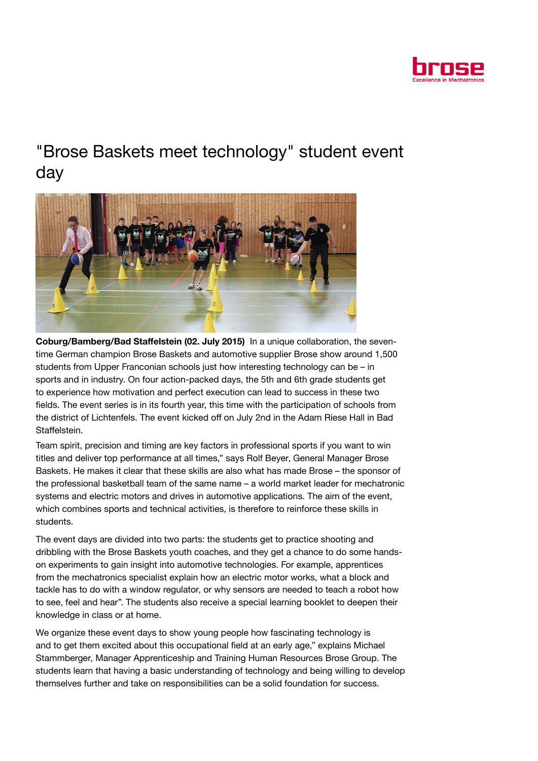

## "Brose Baskets meet technology" student event day



Coburg/Bamberg/Bad Staffelstein (02. July 2015) In a unique collaboration, the seventime German champion Brose Baskets and automotive supplier Brose show around 1,500 students from Upper Franconian schools just how interesting technology can be – in sports and in industry. On four action-packed days, the 5th and 6th grade students get to experience how motivation and perfect execution can lead to success in these two fields. The event series is in its fourth year, this time with the participation of schools from the district of Lichtenfels. The event kicked off on July 2nd in the Adam Riese Hall in Bad Staffelstein.

Team spirit, precision and timing are key factors in professional sports if you want to win titles and deliver top performance at all times," says Rolf Beyer, General Manager Brose Baskets. He makes it clear that these skills are also what has made Brose – the sponsor of the professional basketball team of the same name – a world market leader for mechatronic systems and electric motors and drives in automotive applications. The aim of the event, which combines sports and technical activities, is therefore to reinforce these skills in students.

The event days are divided into two parts: the students get to practice shooting and dribbling with the Brose Baskets youth coaches, and they get a chance to do some handson experiments to gain insight into automotive technologies. For example, apprentices from the mechatronics specialist explain how an electric motor works, what a block and tackle has to do with a window regulator, or why sensors are needed to teach a robot how to see, feel and hear". The students also receive a special learning booklet to deepen their knowledge in class or at home.

We organize these event days to show young people how fascinating technology is and to get them excited about this occupational field at an early age," explains Michael Stammberger, Manager Apprenticeship and Training Human Resources Brose Group. The students learn that having a basic understanding of technology and being willing to develop themselves further and take on responsibilities can be a solid foundation for success.